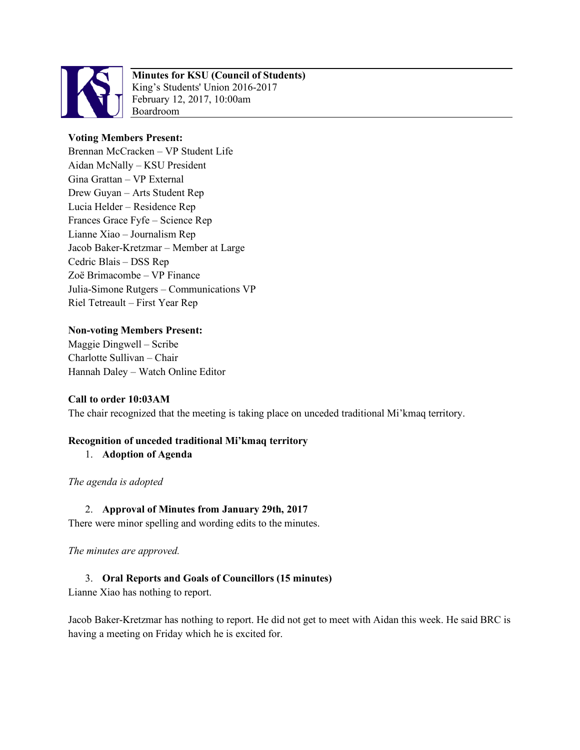

# **Minutes for KSU (Council of Students)**

King's Students' Union 2016-2017 February 12, 2017, 10:00am Boardroom

## **Voting Members Present:**

Brennan McCracken – VP Student Life Aidan McNally – KSU President Gina Grattan – VP External Drew Guyan – Arts Student Rep Lucia Helder – Residence Rep Frances Grace Fyfe – Science Rep Lianne Xiao – Journalism Rep Jacob Baker-Kretzmar – Member at Large Cedric Blais – DSS Rep Zoë Brimacombe – VP Finance Julia-Simone Rutgers – Communications VP Riel Tetreault – First Year Rep

## **Non-voting Members Present:**

Maggie Dingwell – Scribe Charlotte Sullivan – Chair Hannah Daley – Watch Online Editor

## **Call to order 10:03AM**

The chair recognized that the meeting is taking place on unceded traditional Mi'kmaq territory.

## **Recognition of unceded traditional Mi'kmaq territory**

1. **Adoption of Agenda** 

*The agenda is adopted* 

## 2. **Approval of Minutes from January 29th, 2017**

There were minor spelling and wording edits to the minutes.

*The minutes are approved.* 

## 3. **Oral Reports and Goals of Councillors (15 minutes)**

Lianne Xiao has nothing to report.

Jacob Baker-Kretzmar has nothing to report. He did not get to meet with Aidan this week. He said BRC is having a meeting on Friday which he is excited for.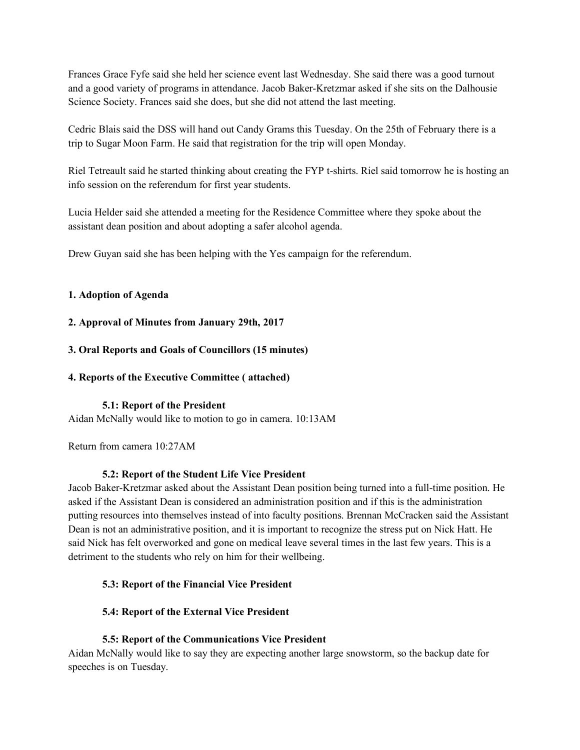Frances Grace Fyfe said she held her science event last Wednesday. She said there was a good turnout and a good variety of programs in attendance. Jacob Baker-Kretzmar asked if she sits on the Dalhousie Science Society. Frances said she does, but she did not attend the last meeting.

Cedric Blais said the DSS will hand out Candy Grams this Tuesday. On the 25th of February there is a trip to Sugar Moon Farm. He said that registration for the trip will open Monday.

Riel Tetreault said he started thinking about creating the FYP t-shirts. Riel said tomorrow he is hosting an info session on the referendum for first year students.

Lucia Helder said she attended a meeting for the Residence Committee where they spoke about the assistant dean position and about adopting a safer alcohol agenda.

Drew Guyan said she has been helping with the Yes campaign for the referendum.

## **1. Adoption of Agenda**

## **2. Approval of Minutes from January 29th, 2017**

## **3. Oral Reports and Goals of Councillors (15 minutes)**

## **4. Reports of the Executive Committee ( attached)**

## **5.1: Report of the President**

Aidan McNally would like to motion to go in camera. 10:13AM

Return from camera 10:27AM

## **5.2: Report of the Student Life Vice President**

Jacob Baker-Kretzmar asked about the Assistant Dean position being turned into a full-time position. He asked if the Assistant Dean is considered an administration position and if this is the administration putting resources into themselves instead of into faculty positions. Brennan McCracken said the Assistant Dean is not an administrative position, and it is important to recognize the stress put on Nick Hatt. He said Nick has felt overworked and gone on medical leave several times in the last few years. This is a detriment to the students who rely on him for their wellbeing.

## **5.3: Report of the Financial Vice President**

## **5.4: Report of the External Vice President**

## **5.5: Report of the Communications Vice President**

Aidan McNally would like to say they are expecting another large snowstorm, so the backup date for speeches is on Tuesday.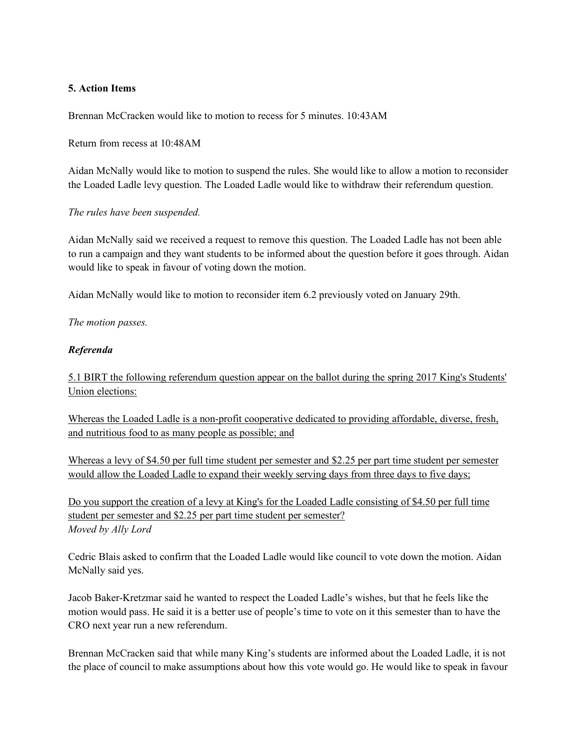### **5. Action Items**

Brennan McCracken would like to motion to recess for 5 minutes. 10:43AM

Return from recess at 10:48AM

Aidan McNally would like to motion to suspend the rules. She would like to allow a motion to reconsider the Loaded Ladle levy question. The Loaded Ladle would like to withdraw their referendum question.

#### *The rules have been suspended.*

Aidan McNally said we received a request to remove this question. The Loaded Ladle has not been able to run a campaign and they want students to be informed about the question before it goes through. Aidan would like to speak in favour of voting down the motion.

Aidan McNally would like to motion to reconsider item 6.2 previously voted on January 29th.

*The motion passes.* 

#### *Referenda*

5.1 BIRT the following referendum question appear on the ballot during the spring 2017 King's Students' Union elections:

Whereas the Loaded Ladle is a non-profit cooperative dedicated to providing affordable, diverse, fresh, and nutritious food to as many people as possible; and

Whereas a levy of \$4.50 per full time student per semester and \$2.25 per part time student per semester would allow the Loaded Ladle to expand their weekly serving days from three days to five days;

Do you support the creation of a levy at King's for the Loaded Ladle consisting of \$4.50 per full time student per semester and \$2.25 per part time student per semester? *Moved by Ally Lord*

Cedric Blais asked to confirm that the Loaded Ladle would like council to vote down the motion. Aidan McNally said yes.

Jacob Baker-Kretzmar said he wanted to respect the Loaded Ladle's wishes, but that he feels like the motion would pass. He said it is a better use of people's time to vote on it this semester than to have the CRO next year run a new referendum.

Brennan McCracken said that while many King's students are informed about the Loaded Ladle, it is not the place of council to make assumptions about how this vote would go. He would like to speak in favour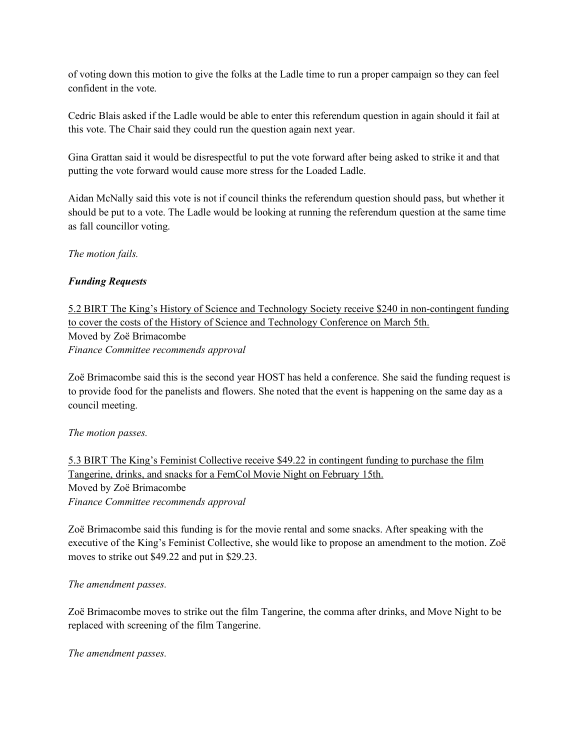of voting down this motion to give the folks at the Ladle time to run a proper campaign so they can feel confident in the vote.

Cedric Blais asked if the Ladle would be able to enter this referendum question in again should it fail at this vote. The Chair said they could run the question again next year.

Gina Grattan said it would be disrespectful to put the vote forward after being asked to strike it and that putting the vote forward would cause more stress for the Loaded Ladle.

Aidan McNally said this vote is not if council thinks the referendum question should pass, but whether it should be put to a vote. The Ladle would be looking at running the referendum question at the same time as fall councillor voting.

*The motion fails.* 

## *Funding Requests*

5.2 BIRT The King's History of Science and Technology Society receive \$240 in non-contingent funding to cover the costs of the History of Science and Technology Conference on March 5th. Moved by Zoë Brimacombe *Finance Committee recommends approval*

Zoë Brimacombe said this is the second year HOST has held a conference. She said the funding request is to provide food for the panelists and flowers. She noted that the event is happening on the same day as a council meeting.

## *The motion passes.*

5.3 BIRT The King's Feminist Collective receive \$49.22 in contingent funding to purchase the film Tangerine, drinks, and snacks for a FemCol Movie Night on February 15th. Moved by Zoë Brimacombe *Finance Committee recommends approval*

Zoë Brimacombe said this funding is for the movie rental and some snacks. After speaking with the executive of the King's Feminist Collective, she would like to propose an amendment to the motion. Zoë moves to strike out \$49.22 and put in \$29.23.

#### *The amendment passes.*

Zoë Brimacombe moves to strike out the film Tangerine, the comma after drinks, and Move Night to be replaced with screening of the film Tangerine.

*The amendment passes.*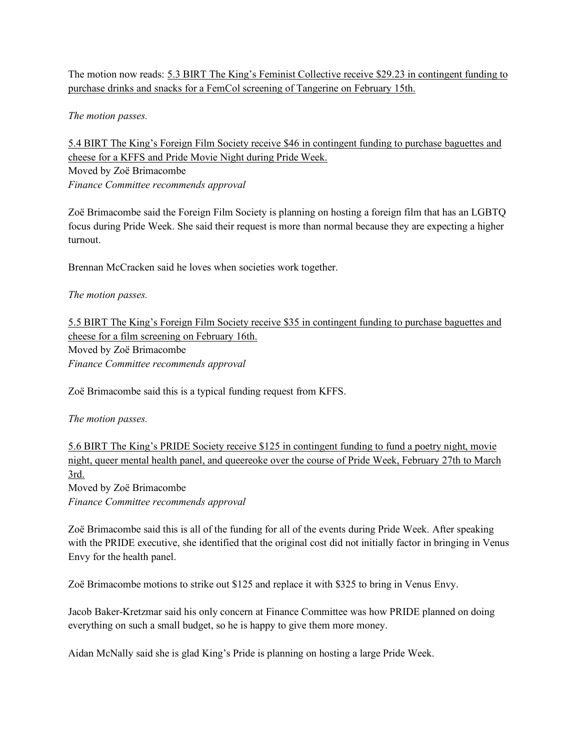The motion now reads: 5.3 BIRT The King's Feminist Collective receive \$29.23 in contingent funding to purchase drinks and snacks for a FemCol screening of Tangerine on February 15th.

*The motion passes.* 

5.4 BIRT The King's Foreign Film Society receive \$46 in contingent funding to purchase baguettes and cheese for a KFFS and Pride Movie Night during Pride Week. Moved by Zoë Brimacombe

*Finance Committee recommends approval*

Zoë Brimacombe said the Foreign Film Society is planning on hosting a foreign film that has an LGBTQ focus during Pride Week. She said their request is more than normal because they are expecting a higher turnout.

Brennan McCracken said he loves when societies work together.

#### *The motion passes.*

5.5 BIRT The King's Foreign Film Society receive \$35 in contingent funding to purchase baguettes and cheese for a film screening on February 16th. Moved by Zoë Brimacombe *Finance Committee recommends approval*

Zoë Brimacombe said this is a typical funding request from KFFS.

#### *The motion passes.*

5.6 BIRT The King's PRIDE Society receive \$125 in contingent funding to fund a poetry night, movie night, queer mental health panel, and queereoke over the course of Pride Week, February 27th to March 3rd. Moved by Zoë Brimacombe

*Finance Committee recommends approval*

Zoë Brimacombe said this is all of the funding for all of the events during Pride Week. After speaking with the PRIDE executive, she identified that the original cost did not initially factor in bringing in Venus Envy for the health panel.

Zoë Brimacombe motions to strike out \$125 and replace it with \$325 to bring in Venus Envy.

Jacob Baker-Kretzmar said his only concern at Finance Committee was how PRIDE planned on doing everything on such a small budget, so he is happy to give them more money.

Aidan McNally said she is glad King's Pride is planning on hosting a large Pride Week.